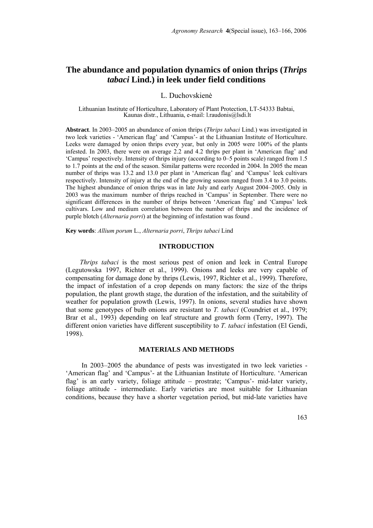# **The abundance and population dynamics of onion thrips (***Thrips tabaci* **Lind.) in leek under field conditions**

## L. Duchovskienė

Lithuanian Institute of Horticulture, Laboratory of Plant Protection, LT-54333 Babtai, Kaunas distr., Lithuania, e-mail: l.raudonis@lsdi.lt

**Abstract**. In 2003–2005 an abundance of onion thrips (*Thrips tabaci* Lind.) was investigated in two leek varieties - 'American flag' and 'Campus'- at the Lithuanian Institute of Horticulture. Leeks were damaged by onion thrips every year, but only in 2005 were 100% of the plants infested. In 2003, there were on average 2.2 and 4.2 thrips per plant in 'American flag' and 'Campus' respectively. Intensity of thrips injury (according to 0–5 points scale) ranged from 1.5 to 1.7 points at the end of the season. Similar patterns were recorded in 2004. In 2005 the mean number of thrips was 13.2 and 13.0 per plant in 'American flag' and 'Campus' leek cultivars respectively. Intensity of injury at the end of the growing season ranged from 3.4 to 3.0 points. The highest abundance of onion thrips was in late July and early August 2004–2005. Only in 2003 was the maximum number of thrips reached in 'Campus' in September. There were no significant differences in the number of thrips between 'American flag' and 'Campus' leek cultivars. Low and medium correlation between the number of thrips and the incidence of purple blotch (*Alternaria porri*) at the beginning of infestation was found .

**Key words**: *Allium porum* L., *Alternaria porri*, *Thrips tabaci* Lind

#### **INTRODUCTION**

*Thrips tabaci* is the most serious pest of onion and leek in Central Europe (Legutowska 1997, Richter et al., 1999). Onions and leeks are very capable of compensating for damage done by thrips (Lewis, 1997, Richter et al., 1999). Therefore, the impact of infestation of a crop depends on many factors: the size of the thrips population, the plant growth stage, the duration of the infestation, and the suitability of weather for population growth (Lewis, 1997). In onions, several studies have shown that some genotypes of bulb onions are resistant to *T. tabaci* (Coundriet et al., 1979; Brar et al., 1993) depending on leaf structure and growth form (Terry, 1997). The different onion varieties have different susceptibility to *T. tabaci* infestation (El Gendi, 1998).

## **MATERIALS AND METHODS**

In 2003–2005 the abundance of pests was investigated in two leek varieties - 'American flag' and 'Campus'- at the Lithuanian Institute of Horticulture. 'American flag' is an early variety, foliage attitude – prostrate; 'Campus'- mid-later variety, foliage attitude - intermediate. Early varieties are most suitable for Lithuanian conditions, because they have a shorter vegetation period, but mid-late varieties have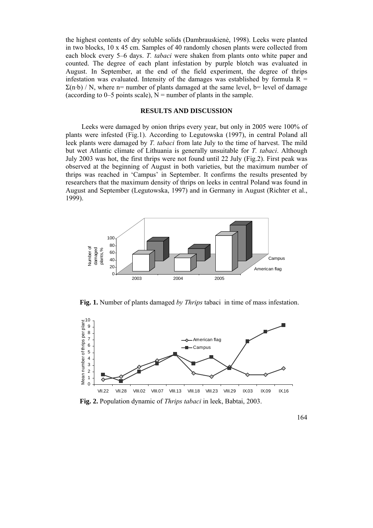the highest contents of dry soluble solids (Dambrauskienė, 1998). Leeks were planted in two blocks, 10 x 45 cm. Samples of 40 randomly chosen plants were collected from each block every 5–6 days. *T. tabaci* were shaken from plants onto white paper and counted. The degree of each plant infestation by purple blotch was evaluated in August. In September, at the end of the field experiment, the degree of thrips infestation was evaluated. Intensity of the damages was established by formula  $R =$  $\Sigma(n-b)$  / N, where n= number of plants damaged at the same level, b= level of damage (according to 0–5 points scale),  $N =$  number of plants in the sample.

# **RESULTS AND DISCUSSION**

Leeks were damaged by onion thrips every year, but only in 2005 were 100% of plants were infested (Fig.1). According to Legutowska (1997), in central Poland all leek plants were damaged by *T. tabaci* from late July to the time of harvest. The mild but wet Atlantic climate of Lithuania is generally unsuitable for *T. tabaci*. Although July 2003 was hot, the first thrips were not found until 22 July (Fig.2). First peak was observed at the beginning of August in both varieties, but the maximum number of thrips was reached in 'Campus' in September. It confirms the results presented by researchers that the maximum density of thrips on leeks in central Poland was found in August and September (Legutowska, 1997) and in Germany in August (Richter et al., 1999).



**Fig. 1.** Number of plants damaged *by Thrips* tabaci in time of mass infestation.



**Fig. 2.** Population dynamic of *Thrips tabaci* in leek, Babtai, 2003.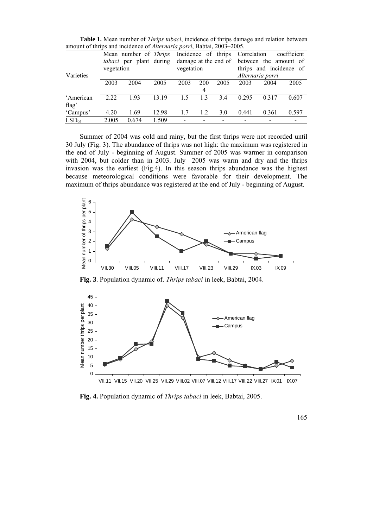|                   | Mean number of <i>Thrips</i><br>tabaci per plant during<br>vegetation |       |       | Incidence of thrips<br>vegetation |     |      | Correlation<br>coefficient<br>damage at the end of between the amount of<br>thrips and incidence of |       |       |
|-------------------|-----------------------------------------------------------------------|-------|-------|-----------------------------------|-----|------|-----------------------------------------------------------------------------------------------------|-------|-------|
| Varieties         |                                                                       |       |       |                                   |     |      | Alternaria porri                                                                                    |       |       |
|                   | 2003                                                                  | 2004  | 2005  | 2003                              | 200 | 2005 | 2003                                                                                                | 2004  | 2005  |
|                   |                                                                       |       |       |                                   | 4   |      |                                                                                                     |       |       |
| 'American         | 2.22                                                                  | 193   | 13 19 | 1.5                               | 13  | 3.4  | 0 2 9 5                                                                                             | 0.317 | 0.607 |
| flag'             |                                                                       |       |       |                                   |     |      |                                                                                                     |       |       |
| 'Campus'          | 4.20                                                                  | 1.69  | 12.98 | 17                                | 1.2 | 3.0  | 0.441                                                                                               | 0.361 | 0.597 |
| LSD <sub>05</sub> | 2.005                                                                 | 0.674 | 1.509 |                                   |     |      |                                                                                                     |       |       |

**Table 1.** Mean number of *Thrips tabaci*, incidence of thrips damage and relation between amount of thrips and incidence of *Alternaria porri*, Babtai, 2003–2005.

Summer of 2004 was cold and rainy, but the first thrips were not recorded until 30 July (Fig. 3). The abundance of thrips was not high: the maximum was registered in the end of July - beginning of August. Summer of 2005 was warmer in comparison with 2004, but colder than in 2003. July 2005 was warm and dry and the thrips invasion was the earliest (Fig.4). In this season thrips abundance was the highest because meteorological conditions were favorable for their development. The maximum of thrips abundance was registered at the end of July - beginning of August.



**Fig. 3**. Population dynamic of. *Thrips tabaci* in leek, Babtai, 2004.



**Fig. 4.** Population dynamic of *Thrips tabaci* in leek, Babtai, 2005.